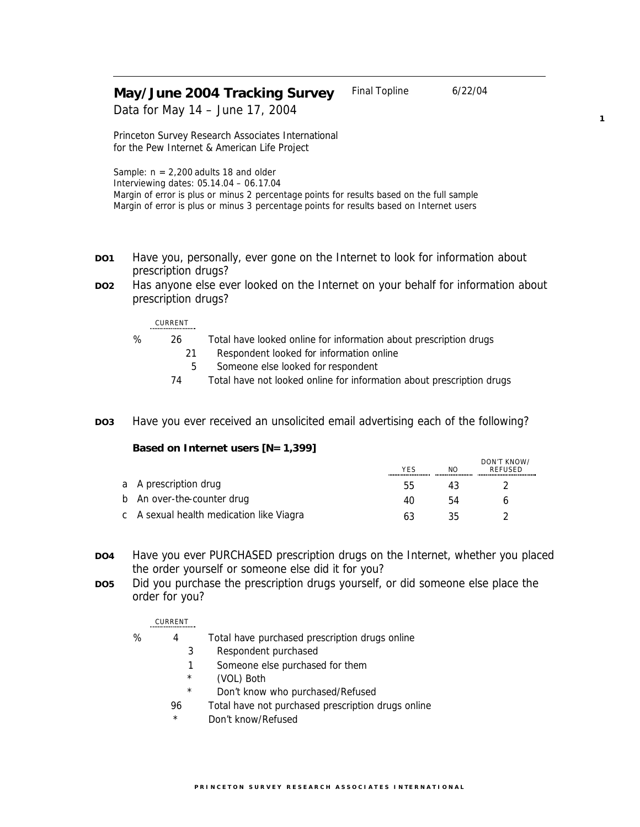# May/June 2004 Tracking Survey Final Topline 6/22/04

DON'T KNOW/

Data for May 14 – June 17, 2004

Princeton Survey Research Associates International for the Pew Internet & American Life Project

Sample:  $n = 2,200$  adults 18 and older Interviewing dates: 05.14.04 – 06.17.04 Margin of error is plus or minus 2 percentage points for results based on the full sample Margin of error is plus or minus 3 percentage points for results based on Internet users

- **DO1** Have you, personally, ever gone on the Internet to look for information about prescription drugs?
- **DO2** Has anyone else ever looked on the Internet on your behalf for information about prescription drugs?

CURRENT

% 26 Total have looked online for information about prescription drugs

- 21 Respondent looked for information online
- 5 Someone else looked for respondent
- 74 Total have not looked online for information about prescription drugs
- **DO3** Have you ever received an unsolicited email advertising each of the following?

#### **Based on Internet users [N= 1,399]**

|                                          | <b>YFS</b> | NΟ<br> | <b>DUN I KNUW</b><br>REFUSED |
|------------------------------------------|------------|--------|------------------------------|
| a A prescription drug                    | .hh        |        |                              |
| b An over-the-counter drug               | 40         | 54     |                              |
| c A sexual health medication like Viagra |            | Υh     |                              |

- **DO4** Have you ever PURCHASED prescription drugs on the Internet, whether you placed the order yourself or someone else did it for you?
- **DO5** Did you purchase the prescription drugs yourself, or did someone else place the order for you?

| $\sim$ |  |
|--------|--|
|        |  |
|        |  |

% 4 Total have purchased prescription drugs online

- 3 Respondent purchased
- 1 Someone else purchased for them
- \* (VOL) Both
- Don't know who purchased/Refused
- 96 Total have not purchased prescription drugs online
- \* Don't know/Refused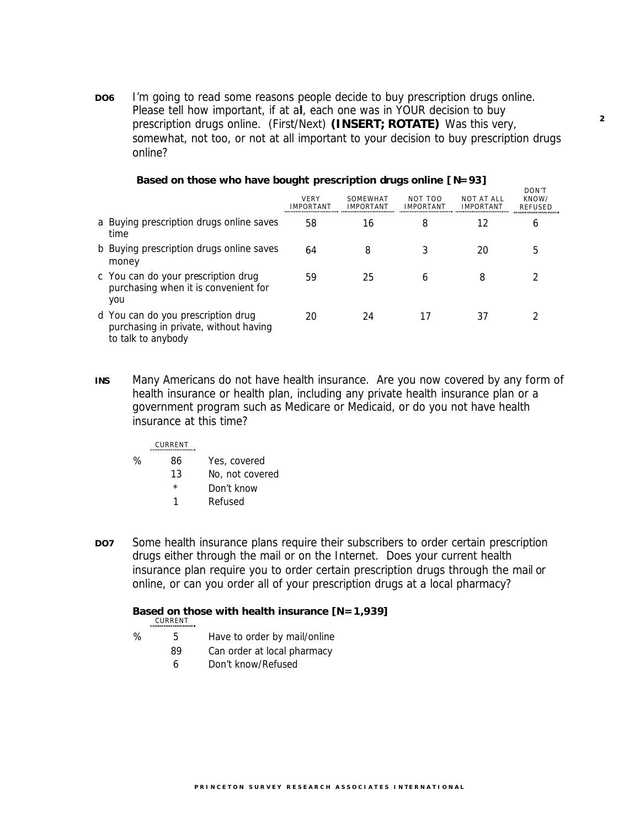**DO6** I'm going to read some reasons people decide to buy prescription drugs online. Please tell how important, if at all, each one was in YOUR decision to buy prescription drugs online. (First/Next) **(INSERT; ROTATE)** Was this very, somewhat, not too, or not at all important to your decision to buy prescription drugs online?

|                                                                                                   | VFRY<br>IMPORTANT | SOMEWHAT<br>IMPORTANT | NOT TOO<br>IMPORTANT | NOT AT ALL<br><b>IMPORTANT</b> | DON'T<br>KNOW/<br>REFUSED |
|---------------------------------------------------------------------------------------------------|-------------------|-----------------------|----------------------|--------------------------------|---------------------------|
| a Buying prescription drugs online saves<br>time                                                  | 58                | 16                    | 8                    |                                | b                         |
| b Buying prescription drugs online saves<br>money                                                 | 64                | 8                     |                      | 20                             |                           |
| c You can do your prescription drug<br>purchasing when it is convenient for<br>you                | 59                | 25                    | h                    | 8                              |                           |
| d You can do you prescription drug<br>purchasing in private, without having<br>to talk to anybody | 20                | 24                    | 17                   | 37                             |                           |

#### **Based on those who have bought prescription drugs online [ N=93]**

**INS** Many Americans do not have health insurance. Are you now covered by any form of health insurance or health plan, including any private health insurance plan or a government program such as Medicare or Medicaid, or do you not have health insurance at this time?

## CURRENT % 86 Yes, covered 13 No, not covered \* Don't know **Refused**

**DO7** Some health insurance plans require their subscribers to order certain prescription drugs either through the mail or on the Internet. Does your current health insurance plan require you to order certain prescription drugs through the mail or online, or can you order all of your prescription drugs at a local pharmacy?

| Based on those with health insurance $[N=1,939]$ |  |  |  |  |
|--------------------------------------------------|--|--|--|--|
| CURRENT                                          |  |  |  |  |
|                                                  |  |  |  |  |

- % 5 Have to order by mail/online
	- 89 Can order at local pharmacy
	- 6 Don't know/Refused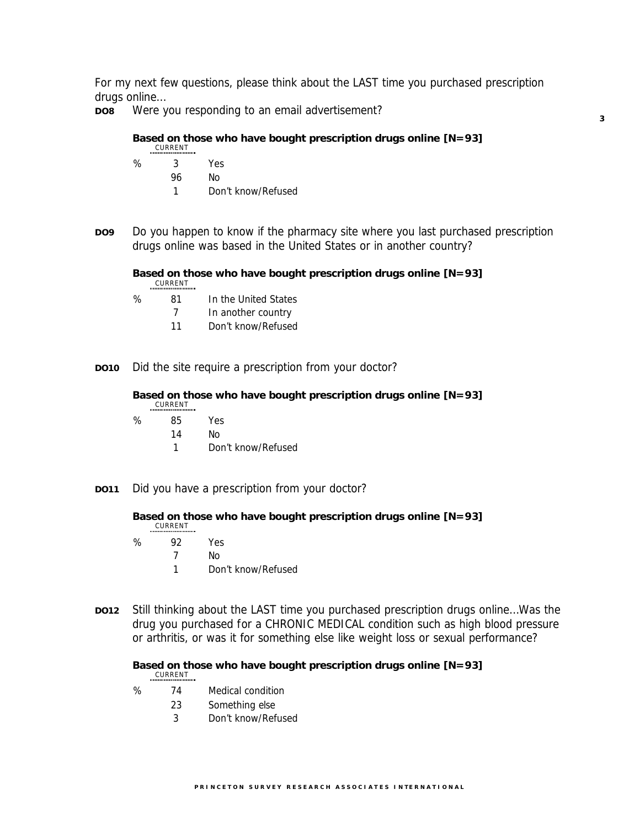For my next few questions, please think about the LAST time you purchased prescription drugs online…

**DO8** Were you responding to an email advertisement?

### **Based on those who have bought prescription drugs online [N=93]** CURRENT % 3 Yes

- 96 No 1 Don't know/Refused
- **DO9** Do you happen to know if the pharmacy site where you last purchased prescription drugs online was based in the United States or in another country?

**Based on those who have bought prescription drugs online [N=93]** CURRENT

| ℅ | 81 | In the United States |
|---|----|----------------------|
|   |    | In another country   |

11 Don't know/Refused

**DO10** Did the site require a prescription from your doctor?

**Based on those who have bought prescription drugs online [N=93]** CURRENT

| ℅ | 85 | Yes                |
|---|----|--------------------|
|   | 14 | No                 |
|   |    | Don't know/Refused |

**DO11** Did you have a prescription from your doctor?

**Based on those who have bought prescription drugs online [N=93]** CURRENT

| ℅ | 92 | Yes                |
|---|----|--------------------|
|   |    | Nο                 |
|   |    | Don't know/Refused |

**DO12** Still thinking about the LAST time you purchased prescription drugs online…Was the drug you purchased for a CHRONIC MEDICAL condition such as high blood pressure or arthritis, or was it for something else like weight loss or sexual performance?

**Based on those who have bought prescription drugs online [N=93]** CURRENT

% 74 Medical condition

- 23 Something else
	- 3 Don't know/Refused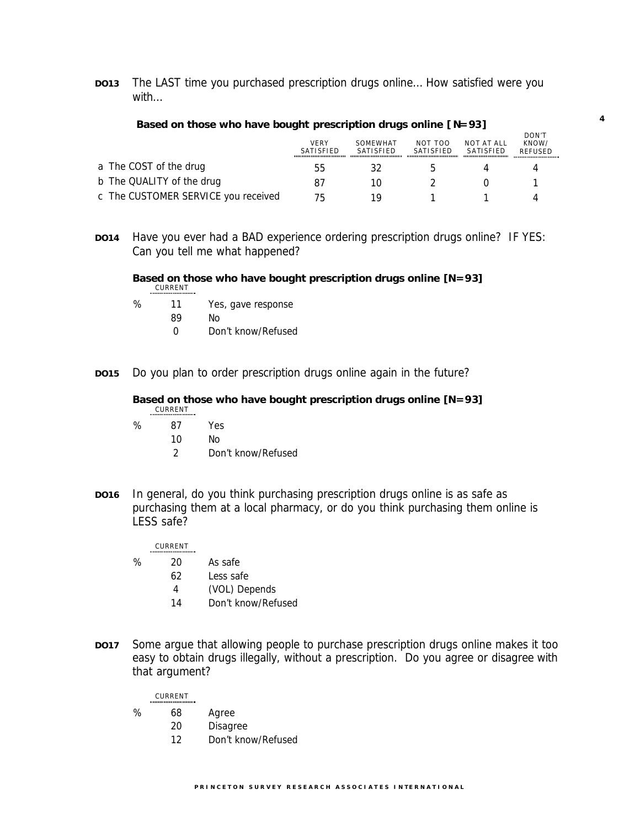**DO13** The LAST time you purchased prescription drugs online… How satisfied were you with…

| Based on those who have bought prescription drugs online [N=93] |                   |                       |                      |                         |                           |
|-----------------------------------------------------------------|-------------------|-----------------------|----------------------|-------------------------|---------------------------|
|                                                                 | VERY<br>SATISFIED | SOMEWHAT<br>SATISFIED | NOT TOO<br>SATISFIED | NOT AT ALL<br>SATISFIED | DON'T<br>KNOW/<br>REFUSED |
| a The COST of the drug                                          | 55                | 32                    |                      |                         |                           |
| b The QUALITY of the drug                                       | 87                | 10                    |                      |                         |                           |
| c The CUSTOMER SERVICE you received                             | 75                | 1 Q                   |                      |                         |                           |

**DO14** Have you ever had a BAD experience ordering prescription drugs online? IF YES: Can you tell me what happened?

**Based on those who have bought prescription drugs online [N=93]** CURRENT

| ℅ | 11 | Yes, gave response |
|---|----|--------------------|
|   | 89 | Nο                 |

- 0 Don't know/Refused
- **DO15** Do you plan to order prescription drugs online again in the future?

**Based on those who have bought prescription drugs online [N=93]** CURRENT

| % | 87 | <b>Yes</b>         |
|---|----|--------------------|
|   | 10 | No                 |
|   | 2  | Don't know/Refused |

**DO16** In general, do you think purchasing prescription drugs online is as safe as purchasing them at a local pharmacy, or do you think purchasing them online is LESS safe?

|      | CURRENT |                    |
|------|---------|--------------------|
| $\%$ | 20      | As safe            |
|      | 62      | Less safe          |
|      |         | (VOL) Depends      |
|      | 14      | Don't know/Refused |

**DO17** Some argue that allowing people to purchase prescription drugs online makes it too easy to obtain drugs illegally, without a prescription. Do you agree or disagree with that argument?

CURRENT

| ℅ | 68 | Agree |
|---|----|-------|
|---|----|-------|

- 20 Disagree
- 12 Don't know/Refused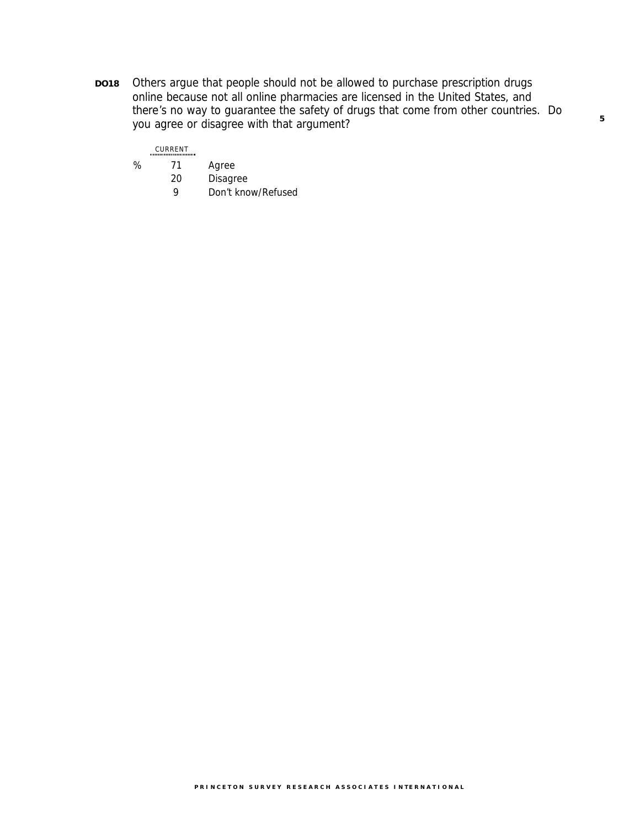**DO18** Others argue that people should not be allowed to purchase prescription drugs online because not all online pharmacies are licensed in the United States, and there's no way to guarantee the safety of drugs that come from other countries. Do you agree or disagree with that argument?

#### CURRENT

| ℅ | 71 | Agree              |
|---|----|--------------------|
|   | 20 | <b>Disagree</b>    |
|   | Q  | Don't know/Refused |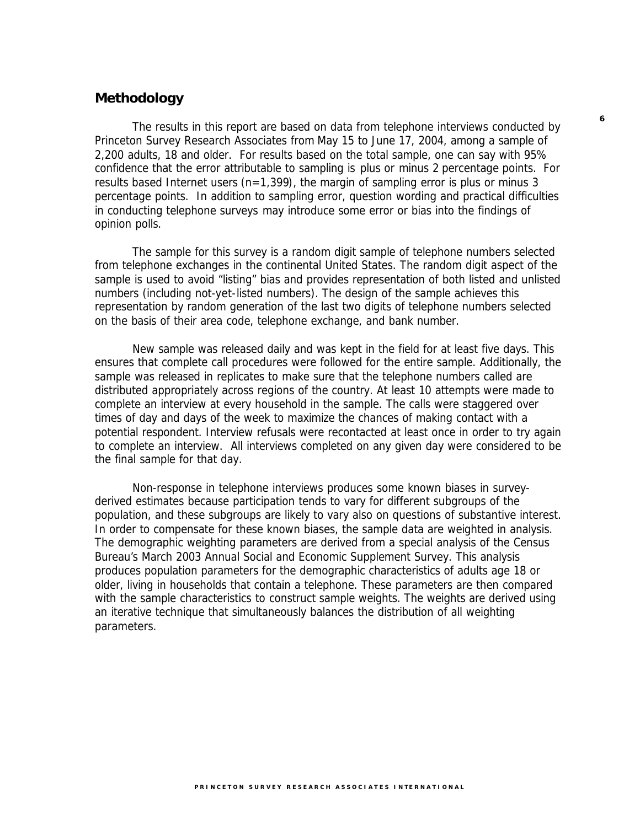## **Methodology**

The results in this report are based on data from telephone interviews conducted by Princeton Survey Research Associates from May 15 to June 17, 2004, among a sample of 2,200 adults, 18 and older. For results based on the total sample, one can say with 95% confidence that the error attributable to sampling is plus or minus 2 percentage points. For results based Internet users ( $n=1,399$ ), the margin of sampling error is plus or minus 3 percentage points. In addition to sampling error, question wording and practical difficulties in conducting telephone surveys may introduce some error or bias into the findings of opinion polls.

The sample for this survey is a random digit sample of telephone numbers selected from telephone exchanges in the continental United States. The random digit aspect of the sample is used to avoid "listing" bias and provides representation of both listed and unlisted numbers (including not-yet-listed numbers). The design of the sample achieves this representation by random generation of the last two digits of telephone numbers selected on the basis of their area code, telephone exchange, and bank number.

New sample was released daily and was kept in the field for at least five days. This ensures that complete call procedures were followed for the entire sample. Additionally, the sample was released in replicates to make sure that the telephone numbers called are distributed appropriately across regions of the country. At least 10 attempts were made to complete an interview at every household in the sample. The calls were staggered over times of day and days of the week to maximize the chances of making contact with a potential respondent. Interview refusals were recontacted at least once in order to try again to complete an interview. All interviews completed on any given day were considered to be the final sample for that day.

Non-response in telephone interviews produces some known biases in surveyderived estimates because participation tends to vary for different subgroups of the population, and these subgroups are likely to vary also on questions of substantive interest. In order to compensate for these known biases, the sample data are weighted in analysis. The demographic weighting parameters are derived from a special analysis of the Census Bureau's March 2003 Annual Social and Economic Supplement Survey. This analysis produces population parameters for the demographic characteristics of adults age 18 or older, living in households that contain a telephone. These parameters are then compared with the sample characteristics to construct sample weights. The weights are derived using an iterative technique that simultaneously balances the distribution of all weighting parameters.